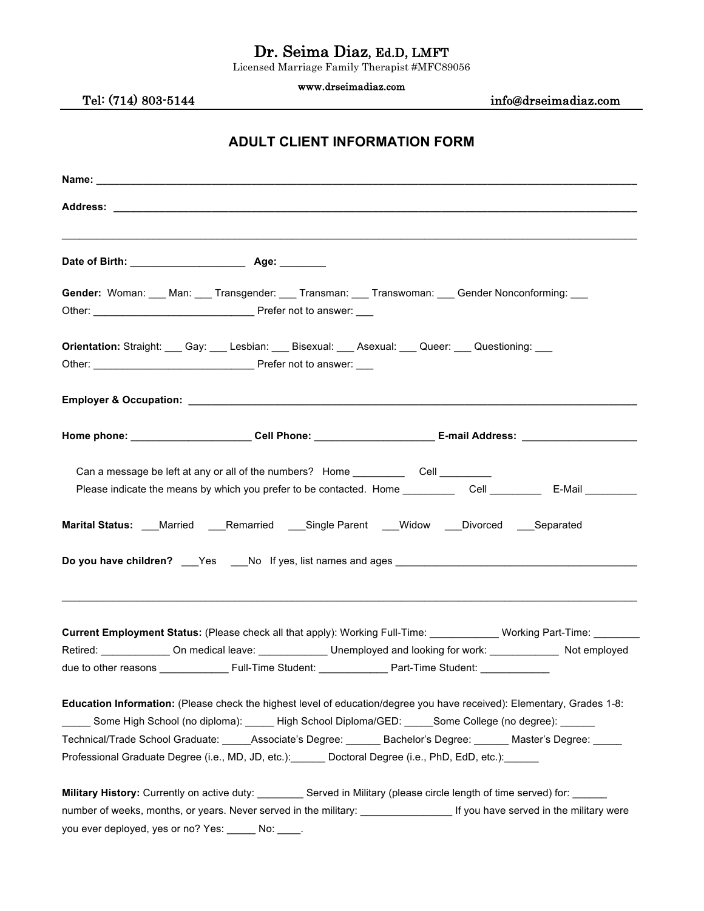# Dr. Seima Diaz, Ed.D, LMFT Licensed Marriage Family Therapist #MFC89056

www.drseimadiaz.com

Tel: (714) 803-5144 info@drseimadiaz.com

## **ADULT CLIENT INFORMATION FORM**

| Gender: Woman: Man: Transgender: Transman: Transwoman: Gender Nonconforming: Dunconforming:                                                                                                                                                                                                                                                                                                                                                                                                             |  |
|---------------------------------------------------------------------------------------------------------------------------------------------------------------------------------------------------------------------------------------------------------------------------------------------------------------------------------------------------------------------------------------------------------------------------------------------------------------------------------------------------------|--|
| Orientation: Straight: Cay: Cay: Lesbian: CBS Bisexual: CASexual: CQUEET: Cuestioning: CASE                                                                                                                                                                                                                                                                                                                                                                                                             |  |
|                                                                                                                                                                                                                                                                                                                                                                                                                                                                                                         |  |
| Home phone: _______________________Cell Phone: _______________________E-mail Address: _______________________                                                                                                                                                                                                                                                                                                                                                                                           |  |
| Can a message be left at any or all of the numbers? Home Cell Cell                                                                                                                                                                                                                                                                                                                                                                                                                                      |  |
| Marital Status: ___Married ____Remarried ____Single Parent ____Widow ____Divorced ____Separated                                                                                                                                                                                                                                                                                                                                                                                                         |  |
| Current Employment Status: (Please check all that apply): Working Full-Time: Working Part-Time: Working Part-Time:<br>Retired: ________________On medical leave: _______________Unemployed and looking for work: _______________ Not employed                                                                                                                                                                                                                                                           |  |
| <b>Education Information:</b> (Please check the highest level of education/degree you have received): Elementary, Grades 1-8:<br>______ Some High School (no diploma): ______ High School Diploma/GED: _____Some College (no degree): ______<br>Technical/Trade School Graduate: _____Associate's Degree: ______ Bachelor's Degree: ______ Master's Degree: _____<br>Professional Graduate Degree (i.e., MD, JD, etc.): Doctoral Degree (i.e., PhD, EdD, etc.): Doctoral Degree (i.e., PhD, EdD, etc.): |  |
| Military History: Currently on active duty: _________ Served in Military (please circle length of time served) for: _____                                                                                                                                                                                                                                                                                                                                                                               |  |

you ever deployed, yes or no? Yes: \_\_\_\_\_ No: \_\_\_\_.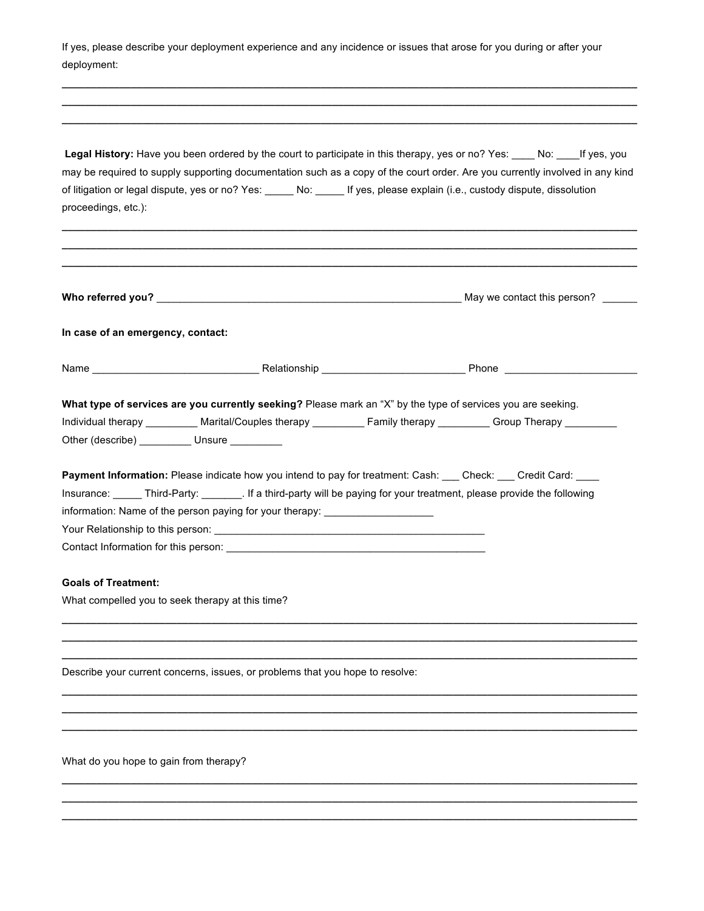| If yes, please describe your deployment experience and any incidence or issues that arose for you during or after your<br>deployment: |                                                                                                                                                                                                                                                                                                                      |                                                                                                                                                                                                                                                       |  |  |
|---------------------------------------------------------------------------------------------------------------------------------------|----------------------------------------------------------------------------------------------------------------------------------------------------------------------------------------------------------------------------------------------------------------------------------------------------------------------|-------------------------------------------------------------------------------------------------------------------------------------------------------------------------------------------------------------------------------------------------------|--|--|
|                                                                                                                                       |                                                                                                                                                                                                                                                                                                                      |                                                                                                                                                                                                                                                       |  |  |
| proceedings, etc.):                                                                                                                   | of litigation or legal dispute, yes or no? Yes: _____ No: _____ If yes, please explain (i.e., custody dispute, dissolution                                                                                                                                                                                           | Legal History: Have you been ordered by the court to participate in this therapy, yes or no? Yes: No: No: 16thes, you<br>may be required to supply supporting documentation such as a copy of the court order. Are you currently involved in any kind |  |  |
|                                                                                                                                       |                                                                                                                                                                                                                                                                                                                      |                                                                                                                                                                                                                                                       |  |  |
| In case of an emergency, contact:                                                                                                     |                                                                                                                                                                                                                                                                                                                      |                                                                                                                                                                                                                                                       |  |  |
|                                                                                                                                       |                                                                                                                                                                                                                                                                                                                      |                                                                                                                                                                                                                                                       |  |  |
|                                                                                                                                       | What type of services are you currently seeking? Please mark an "X" by the type of services you are seeking.<br>Individual therapy __________ Marital/Couples therapy __________ Family therapy _________ Group Therapy _______<br>Other (describe) __________ Unsure ________                                       |                                                                                                                                                                                                                                                       |  |  |
|                                                                                                                                       | Payment Information: Please indicate how you intend to pay for treatment: Cash: ___ Check: ___ Credit Card: ___<br>Insurance: Third-Party: [16] If a third-party will be paying for your treatment, please provide the following<br>information: Name of the person paying for your therapy: _______________________ |                                                                                                                                                                                                                                                       |  |  |
| <b>Goals of Treatment:</b>                                                                                                            | What compelled you to seek therapy at this time?                                                                                                                                                                                                                                                                     |                                                                                                                                                                                                                                                       |  |  |
|                                                                                                                                       | Describe your current concerns, issues, or problems that you hope to resolve:                                                                                                                                                                                                                                        |                                                                                                                                                                                                                                                       |  |  |
|                                                                                                                                       |                                                                                                                                                                                                                                                                                                                      |                                                                                                                                                                                                                                                       |  |  |
| What do you hope to gain from therapy?                                                                                                |                                                                                                                                                                                                                                                                                                                      |                                                                                                                                                                                                                                                       |  |  |
|                                                                                                                                       |                                                                                                                                                                                                                                                                                                                      |                                                                                                                                                                                                                                                       |  |  |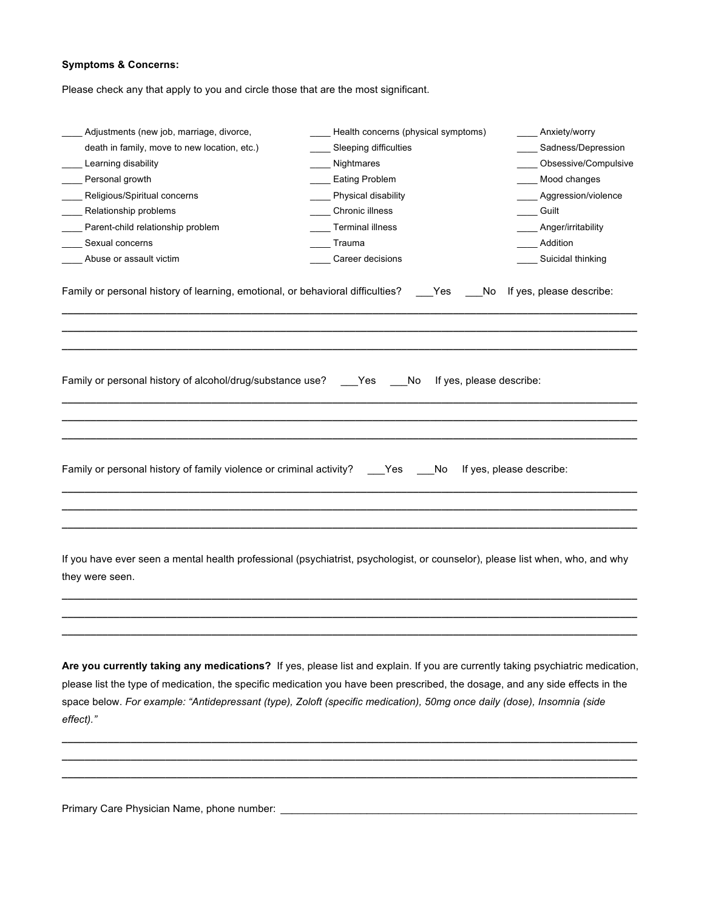#### **Symptoms & Concerns:**

Please check any that apply to you and circle those that are the most significant.

| Adjustments (new job, marriage, divorce,                                                                                                         | Health concerns (physical symptoms)          | Anxiety/worry            |
|--------------------------------------------------------------------------------------------------------------------------------------------------|----------------------------------------------|--------------------------|
| death in family, move to new location, etc.)                                                                                                     | Sleeping difficulties                        | Sadness/Depression       |
| Learning disability                                                                                                                              | Nightmares                                   | Obsessive/Compulsive     |
| Personal growth                                                                                                                                  | <b>Eating Problem</b>                        | Mood changes             |
| Religious/Spiritual concerns                                                                                                                     | Physical disability                          | Aggression/violence      |
| Relationship problems                                                                                                                            | Chronic illness                              | Guilt                    |
| Parent-child relationship problem                                                                                                                | Terminal illness                             | _ Anger/irritability     |
| Sexual concerns                                                                                                                                  | Trauma                                       | Addition                 |
| Abuse or assault victim                                                                                                                          | Career decisions                             | Suicidal thinking        |
|                                                                                                                                                  |                                              |                          |
|                                                                                                                                                  |                                              |                          |
| Family or personal history of alcohol/drug/substance use?                                                                                        | If yes, please describe:<br>Yes<br><b>No</b> |                          |
|                                                                                                                                                  |                                              |                          |
|                                                                                                                                                  |                                              |                          |
| Family or personal history of family violence or criminal activity?                                                                              | Yes<br>No                                    | If yes, please describe: |
|                                                                                                                                                  |                                              |                          |
|                                                                                                                                                  |                                              |                          |
| If you have ever seen a mental health professional (psychiatrist, psychologist, or counselor), please list when, who, and why<br>they were seen. |                                              |                          |
|                                                                                                                                                  |                                              |                          |

**Are you currently taking any medications?** If yes, please list and explain. If you are currently taking psychiatric medication, please list the type of medication, the specific medication you have been prescribed, the dosage, and any side effects in the space below. *For example: "Antidepressant (type), Zoloft (specific medication), 50mg once daily (dose), Insomnia (side effect)."*

**\_\_\_\_\_\_\_\_\_\_\_\_\_\_\_\_\_\_\_\_\_\_\_\_\_\_\_\_\_\_\_\_\_\_\_\_\_\_\_\_\_\_\_\_\_\_\_\_\_\_\_\_\_\_\_\_\_\_\_\_\_\_\_\_\_\_\_\_\_\_\_\_\_\_\_\_\_\_\_\_\_\_\_\_\_\_\_\_\_\_\_\_\_\_\_\_\_\_\_\_ \_\_\_\_\_\_\_\_\_\_\_\_\_\_\_\_\_\_\_\_\_\_\_\_\_\_\_\_\_\_\_\_\_\_\_\_\_\_\_\_\_\_\_\_\_\_\_\_\_\_\_\_\_\_\_\_\_\_\_\_\_\_\_\_\_\_\_\_\_\_\_\_\_\_\_\_\_\_\_\_\_\_\_\_\_\_\_\_\_\_\_\_\_\_\_\_\_\_\_\_ \_\_\_\_\_\_\_\_\_\_\_\_\_\_\_\_\_\_\_\_\_\_\_\_\_\_\_\_\_\_\_\_\_\_\_\_\_\_\_\_\_\_\_\_\_\_\_\_\_\_\_\_\_\_\_\_\_\_\_\_\_\_\_\_\_\_\_\_\_\_\_\_\_\_\_\_\_\_\_\_\_\_\_\_\_\_\_\_\_\_\_\_\_\_\_\_\_\_\_\_**

**\_\_\_\_\_\_\_\_\_\_\_\_\_\_\_\_\_\_\_\_\_\_\_\_\_\_\_\_\_\_\_\_\_\_\_\_\_\_\_\_\_\_\_\_\_\_\_\_\_\_\_\_\_\_\_\_\_\_\_\_\_\_\_\_\_\_\_\_\_\_\_\_\_\_\_\_\_\_\_\_\_\_\_\_\_\_\_\_\_\_\_\_\_\_\_\_\_\_\_\_**

Primary Care Physician Name, phone number: \_\_\_\_\_\_\_\_\_\_\_\_\_\_\_\_\_\_\_\_\_\_\_\_\_\_\_\_\_\_\_\_\_\_\_\_\_\_\_\_\_\_\_\_\_\_\_\_\_\_\_\_\_\_\_\_\_\_\_\_\_\_